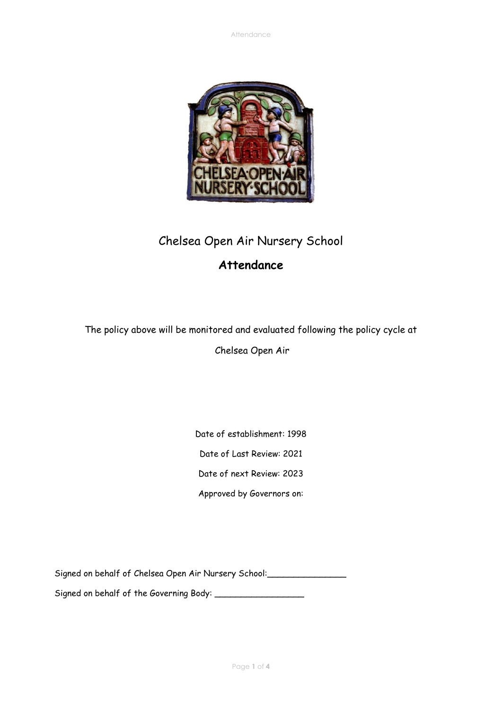

# Chelsea Open Air Nursery School

## **Attendance**

The policy above will be monitored and evaluated following the policy cycle at

Chelsea Open Air

Date of establishment: 1998

Date of Last Review: 2021

Date of next Review: 2023

Approved by Governors on:

Signed on behalf of Chelsea Open Air Nursery School: \_\_\_\_\_\_\_\_\_\_\_\_\_\_\_\_\_\_\_\_\_\_\_\_\_\_\_

Signed on behalf of the Governing Body: \_\_\_\_\_\_\_\_\_\_\_\_\_\_\_\_\_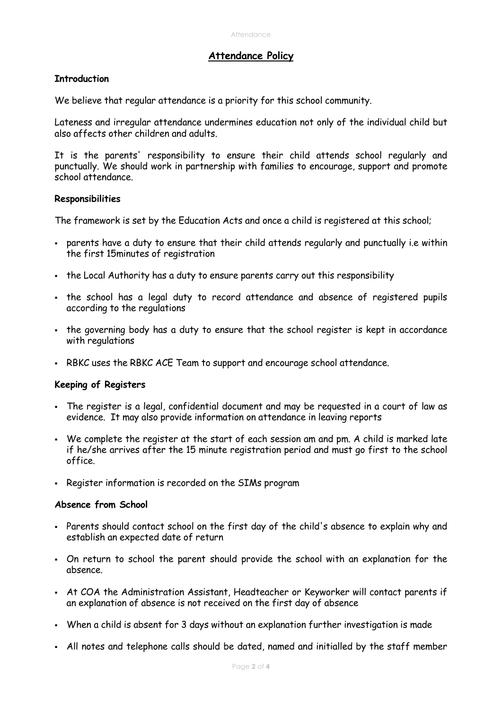### **Attendance Policy**

### **Introduction**

We believe that regular attendance is a priority for this school community.

Lateness and irregular attendance undermines education not only of the individual child but also affects other children and adults.

It is the parents' responsibility to ensure their child attends school regularly and punctually. We should work in partnership with families to encourage, support and promote school attendance.

#### **Responsibilities**

The framework is set by the Education Acts and once a child is registered at this school;

- parents have a duty to ensure that their child attends regularly and punctually i.e within the first 15minutes of registration
- the Local Authority has a duty to ensure parents carry out this responsibility
- . the school has a legal duty to record attendance and absence of registered pupils according to the regulations
- . the governing body has a duty to ensure that the school register is kept in accordance with regulations
- RBKC uses the RBKC ACE Team to support and encourage school attendance.

#### **Keeping of Registers**

- The register is a legal, confidential document and may be requested in a court of law as evidence. It may also provide information on attendance in leaving reports
- We complete the register at the start of each session am and pm. A child is marked late if he/she arrives after the 15 minute registration period and must go first to the school office.
- Register information is recorded on the SIMs program

#### **Absence from School**

- Parents should contact school on the first day of the child's absence to explain why and establish an expected date of return
- On return to school the parent should provide the school with an explanation for the absence.
- At COA the Administration Assistant, Headteacher or Keyworker will contact parents if an explanation of absence is not received on the first day of absence
- When a child is absent for 3 days without an explanation further investigation is made
- All notes and telephone calls should be dated, named and initialled by the staff member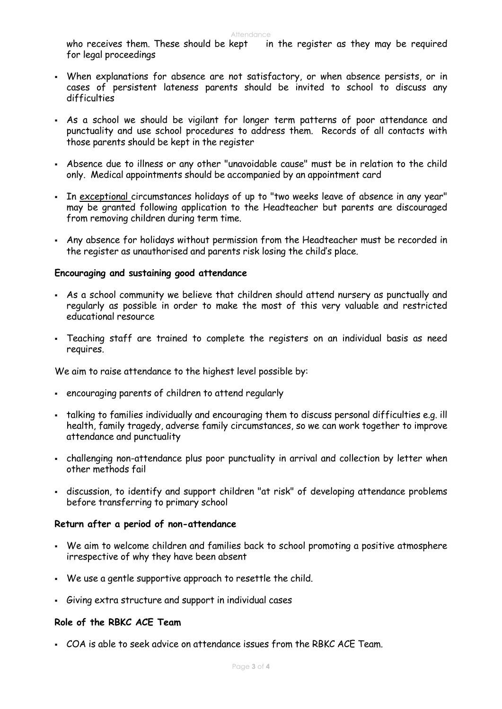Attendance<br>who receives them. These should be kept in in the register as they may be required for legal proceedings

- When explanations for absence are not satisfactory, or when absence persists, or in cases of persistent lateness parents should be invited to school to discuss any difficulties
- As a school we should be vigilant for longer term patterns of poor attendance and punctuality and use school procedures to address them. Records of all contacts with those parents should be kept in the register
- Absence due to illness or any other "unavoidable cause" must be in relation to the child only. Medical appointments should be accompanied by an appointment card
- In exceptional circumstances holidays of up to "two weeks leave of absence in any year" may be granted following application to the Headteacher but parents are discouraged from removing children during term time.
- Any absence for holidays without permission from the Headteacher must be recorded in the register as unauthorised and parents risk losing the child's place.

#### **Encouraging and sustaining good attendance**

- As a school community we believe that children should attend nursery as punctually and regularly as possible in order to make the most of this very valuable and restricted educational resource
- Teaching staff are trained to complete the registers on an individual basis as need requires.

We aim to raise attendance to the highest level possible by:

- encouraging parents of children to attend regularly
- . talking to families individually and encouraging them to discuss personal difficulties e.g. ill health, family tragedy, adverse family circumstances, so we can work together to improve attendance and punctuality
- challenging non-attendance plus poor punctuality in arrival and collection by letter when other methods fail
- discussion, to identify and support children "at risk" of developing attendance problems before transferring to primary school

#### **Return after a period of non-attendance**

- We aim to welcome children and families back to school promoting a positive atmosphere irrespective of why they have been absent
- We use a gentle supportive approach to resettle the child.
- Giving extra structure and support in individual cases

#### **Role of the RBKC ACE Team**

▪ COA is able to seek advice on attendance issues from the RBKC ACE Team.